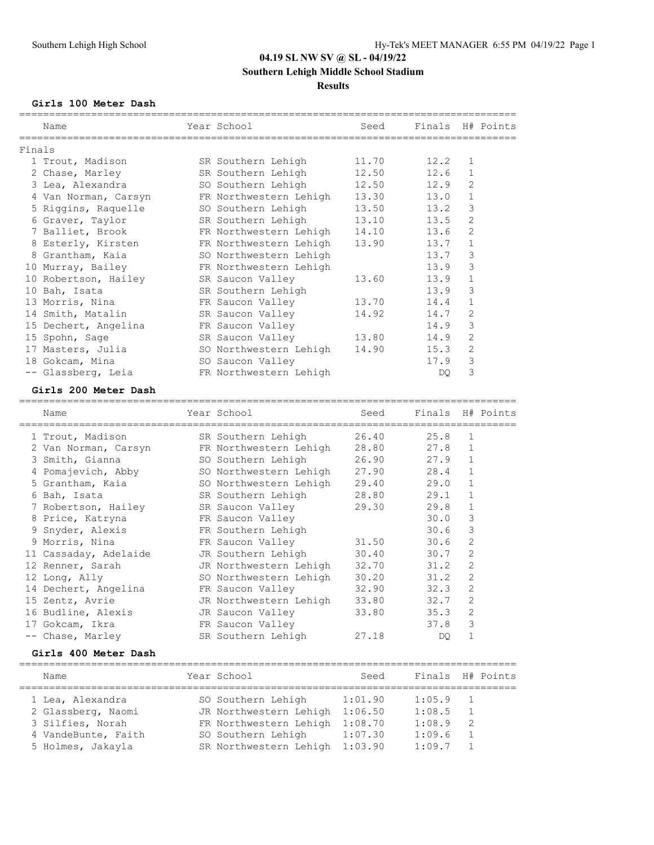## **04.19 SL NW SV @ SL - 04/19/22 Southern Lehigh Middle School Stadium**

#### **Results**

#### **Girls 100 Meter Dash**

| Name |                                                                                                                                                                                                                                                                                                                       |                                                                                         | Seed                                                                                                                                                                                                                                                                                                                                |                                                                                                                        |                |                          |
|------|-----------------------------------------------------------------------------------------------------------------------------------------------------------------------------------------------------------------------------------------------------------------------------------------------------------------------|-----------------------------------------------------------------------------------------|-------------------------------------------------------------------------------------------------------------------------------------------------------------------------------------------------------------------------------------------------------------------------------------------------------------------------------------|------------------------------------------------------------------------------------------------------------------------|----------------|--------------------------|
|      |                                                                                                                                                                                                                                                                                                                       |                                                                                         |                                                                                                                                                                                                                                                                                                                                     |                                                                                                                        |                |                          |
|      |                                                                                                                                                                                                                                                                                                                       |                                                                                         | 11.70                                                                                                                                                                                                                                                                                                                               | 12.2                                                                                                                   | $\mathbf{1}$   |                          |
|      |                                                                                                                                                                                                                                                                                                                       |                                                                                         | 12.50                                                                                                                                                                                                                                                                                                                               | 12.6                                                                                                                   | $\mathbf{1}$   |                          |
|      |                                                                                                                                                                                                                                                                                                                       |                                                                                         | 12.50                                                                                                                                                                                                                                                                                                                               |                                                                                                                        | $\overline{2}$ |                          |
|      |                                                                                                                                                                                                                                                                                                                       |                                                                                         | 13.30                                                                                                                                                                                                                                                                                                                               | 13.0                                                                                                                   | $\mathbf{1}$   |                          |
|      |                                                                                                                                                                                                                                                                                                                       |                                                                                         |                                                                                                                                                                                                                                                                                                                                     | 13.2                                                                                                                   | 3              |                          |
|      |                                                                                                                                                                                                                                                                                                                       |                                                                                         | 13.10                                                                                                                                                                                                                                                                                                                               | 13.5                                                                                                                   | $\mathfrak{D}$ |                          |
|      |                                                                                                                                                                                                                                                                                                                       |                                                                                         | 14.10                                                                                                                                                                                                                                                                                                                               | 13.6                                                                                                                   | 2              |                          |
|      |                                                                                                                                                                                                                                                                                                                       |                                                                                         | 13.90                                                                                                                                                                                                                                                                                                                               | 13.7                                                                                                                   | $\mathbf{1}$   |                          |
|      |                                                                                                                                                                                                                                                                                                                       |                                                                                         |                                                                                                                                                                                                                                                                                                                                     | 13.7                                                                                                                   | 3              |                          |
|      |                                                                                                                                                                                                                                                                                                                       |                                                                                         |                                                                                                                                                                                                                                                                                                                                     | 13.9                                                                                                                   | 3              |                          |
|      |                                                                                                                                                                                                                                                                                                                       |                                                                                         | 13.60                                                                                                                                                                                                                                                                                                                               | 13.9                                                                                                                   | $\mathbf{1}$   |                          |
|      |                                                                                                                                                                                                                                                                                                                       |                                                                                         |                                                                                                                                                                                                                                                                                                                                     | 13.9                                                                                                                   | 3              |                          |
|      |                                                                                                                                                                                                                                                                                                                       |                                                                                         | 13.70                                                                                                                                                                                                                                                                                                                               | 14.4                                                                                                                   | $\mathbf{1}$   |                          |
|      |                                                                                                                                                                                                                                                                                                                       |                                                                                         | 14.92                                                                                                                                                                                                                                                                                                                               | 14.7                                                                                                                   | 2              |                          |
|      |                                                                                                                                                                                                                                                                                                                       |                                                                                         |                                                                                                                                                                                                                                                                                                                                     | 14.9                                                                                                                   | 3              |                          |
|      |                                                                                                                                                                                                                                                                                                                       |                                                                                         | 13.80                                                                                                                                                                                                                                                                                                                               | 14.9                                                                                                                   | 2              |                          |
|      |                                                                                                                                                                                                                                                                                                                       |                                                                                         | 14.90                                                                                                                                                                                                                                                                                                                               | 15.3                                                                                                                   | $\overline{2}$ |                          |
|      |                                                                                                                                                                                                                                                                                                                       |                                                                                         |                                                                                                                                                                                                                                                                                                                                     | 17.9                                                                                                                   | 3              |                          |
|      |                                                                                                                                                                                                                                                                                                                       |                                                                                         |                                                                                                                                                                                                                                                                                                                                     | DO                                                                                                                     | 3              |                          |
|      | Finals<br>1 Trout, Madison<br>2 Chase, Marley<br>3 Lea, Alexandra<br>5 Riggins, Raquelle<br>6 Graver, Taylor<br>7 Balliet, Brook<br>8 Grantham, Kaia<br>10 Murray, Bailey<br>10 Bah, Isata<br>13 Morris, Nina<br>14 Smith, Matalin<br>15 Dechert, Angelina<br>15 Spohn, Sage<br>18 Gokcam, Mina<br>-- Glassberg, Leia | 4 Van Norman, Carsyn<br>8 Esterly, Kirsten<br>10 Robertson, Hailey<br>17 Masters, Julia | Year School<br>SR Southern Lehigh<br>SR Southern Lehigh<br>SO Southern Lehigh<br>FR Northwestern Lehigh<br>SO Northwestern Lehigh<br>FR Northwestern Lehigh<br>SR Saucon Valley<br>SR Southern Lehigh<br>FR Saucon Valley<br>SR Saucon Valley<br>FR Saucon Valley<br>SR Saucon Valley<br>SO Saucon Valley<br>FR Northwestern Lehigh | SO Southern Lehigh<br>FR Northwestern Lehigh<br>SR Southern Lehigh<br>FR Northwestern Lehigh<br>SO Northwestern Lehigh | 13.50          | Finals H# Points<br>12.9 |

#### **Girls 200 Meter Dash**

=================================================================================== Name The Year School Seed Finals H# Points =================================================================================== 1 Trout, Madison SR Southern Lehigh 26.40 25.8 1 2 Van Norman, Carsyn FR Northwestern Lehigh 28.80 27.8 1 3 Smith, Gianna SO Southern Lehigh 26.90 27.9 1 4 Pomajevich, Abby SO Northwestern Lehigh 27.90 28.4 1 5 Grantham, Kaia SO Northwestern Lehigh 29.40 29.0 1 6 Bah, Isata SR Southern Lehigh 28.80 29.1 1 7 Robertson, Hailey SR Saucon Valley 29.30 29.8 1 8 Price, Katryna FR Saucon Valley 30.0 3 9 Snyder, Alexis FR Southern Lehigh 30.6 3 9 Morris, Nina FR Saucon Valley 31.50 30.6 2 11 Cassaday, Adelaide JR Southern Lehigh 30.40 30.7 2 12 Renner, Sarah JR Northwestern Lehigh 32.70 31.2 2 12 Long, Ally SO Northwestern Lehigh 30.20 31.2 2 14 Dechert, Angelina FR Saucon Valley 32.90 32.3 2 15 Zentz, Avrie JR Northwestern Lehigh 33.80 32.7 2 16 Budline, Alexis JR Saucon Valley 33.80 35.3 2 17 Gokcam, Ikra FR Saucon Valley 37.8 3 -- Chase, Marley SR Southern Lehigh 27.18 DQ 1 **Girls 400 Meter Dash**

### =================================================================================== Name The Year School Seed Finals H# Points =================================================================================== 1 Lea, Alexandra SO Southern Lehigh 1:01.90 1:05.9 1 2 Glassberg, Naomi JR Northwestern Lehigh 1:06.50 1:08.5 1 3 Silfies, Norah FR Northwestern Lehigh 1:08.70 1:08.9 2 4 VandeBunte, Faith SO Southern Lehigh 1:07.30 1:09.6 1 5 Holmes, Jakayla SR Northwestern Lehigh 1:03.90 1:09.7 1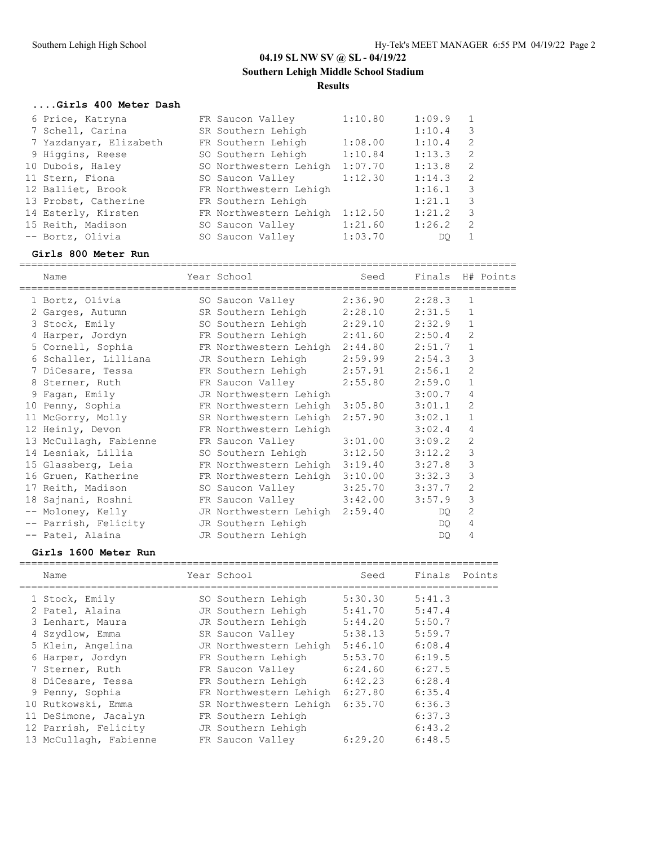**Southern Lehigh Middle School Stadium**

### **Results**

### **....Girls 400 Meter Dash**

| 6 Price, Katryna       | FR Saucon Valley       | 1:10.80 | 1:09.9 |                         |
|------------------------|------------------------|---------|--------|-------------------------|
| 7 Schell, Carina       | SR Southern Lehigh     |         | 1:10.4 | $\overline{\mathbf{3}}$ |
| 7 Yazdanyar, Elizabeth | FR Southern Lehigh     | 1:08.00 | 1:10.4 | 2                       |
| 9 Higgins, Reese       | SO Southern Lehigh     | 1:10.84 | 1:13.3 | -2                      |
| 10 Dubois, Haley       | SO Northwestern Lehigh | 1:07.70 | 1:13.8 | -2                      |
| 11 Stern, Fiona        | SO Saucon Valley       | 1:12.30 | 1:14.3 | -2                      |
| 12 Balliet, Brook      | FR Northwestern Lehigh |         | 1:16.1 | $\overline{\mathbf{3}}$ |
| 13 Probst, Catherine   | FR Southern Lehigh     |         | 1:21.1 | -3                      |
| 14 Esterly, Kirsten    | FR Northwestern Lehigh | 1:12.50 | 1:21.2 | -3                      |
| 15 Reith, Madison      | SO Saucon Valley       | 1:21.60 | 1:26.2 | - 2                     |
| -- Bortz, Olivia       | SO Saucon Valley       | 1:03.70 | DO.    |                         |

===================================================================================

### **Girls 800 Meter Run**

Name The Year School Seed Finals H# Points =================================================================================== 1 Bortz, Olivia SO Saucon Valley 2:36.90 2:28.3 1 2 Garges, Autumn SR Southern Lehigh 2:28.10 2:31.5 1 3 Stock, Emily SO Southern Lehigh 2:29.10 2:32.9 1 4 Harper, Jordyn FR Southern Lehigh 2:41.60 2:50.4 2 5 Cornell, Sophia FR Northwestern Lehigh 2:44.80 2:51.7 1 6 Schaller, Lilliana JR Southern Lehigh 2:59.99 2:54.3 3 7 DiCesare, Tessa FR Southern Lehigh 2:57.91 2:56.1 2 8 Sterner, Ruth FR Saucon Valley 2:55.80 2:59.0 1 9 Fagan, Emily JR Northwestern Lehigh 3:00.7 4 10 Penny, Sophia FR Northwestern Lehigh 3:05.80 3:01.1 2 11 McGorry, Molly SR Northwestern Lehigh 2:57.90 3:02.1 1 12 Heinly, Devon FR Northwestern Lehigh 3:02.4 4 13 McCullagh, Fabienne FR Saucon Valley 3:01.00 3:09.2 2 14 Lesniak, Lillia SO Southern Lehigh 3:12.50 3:12.2 3 15 Glassberg, Leia FR Northwestern Lehigh 3:19.40 3:27.8 3 16 Gruen, Katherine FR Northwestern Lehigh 3:10.00 3:32.3 3 17 Reith, Madison SO Saucon Valley 3:25.70 3:37.7 2 18 Sajnani, Roshni FR Saucon Valley 3:42.00 3:57.9 3 -- Moloney, Kelly JR Northwestern Lehigh 2:59.40 DQ 2 -- Parrish, Felicity JR Southern Lehigh 1988 CD 14 -- Patel, Alaina JR Southern Lehigh DQ 4

### **Girls 1600 Meter Run**

| Name                   | Year School            | Seed    | Finals Points |  |
|------------------------|------------------------|---------|---------------|--|
| 1 Stock, Emily         | SO Southern Lehigh     | 5:30.30 | 5:41.3        |  |
| 2 Patel, Alaina        | JR Southern Lehigh     | 5:41.70 | 5:47.4        |  |
| 3 Lenhart, Maura       | JR Southern Lehigh     | 5:44.20 | 5:50.7        |  |
| 4 Szydlow, Emma        | SR Saucon Valley       | 5:38.13 | 5:59.7        |  |
| 5 Klein, Angelina      | JR Northwestern Lehigh | 5:46.10 | 6:08.4        |  |
| 6 Harper, Jordyn       | FR Southern Lehigh     | 5:53.70 | 6:19.5        |  |
| 7 Sterner, Ruth        | FR Saucon Valley       | 6:24.60 | 6:27.5        |  |
| 8 DiCesare, Tessa      | FR Southern Lehigh     | 6:42.23 | 6:28.4        |  |
| 9 Penny, Sophia        | FR Northwestern Lehigh | 6:27.80 | 6:35.4        |  |
| 10 Rutkowski, Emma     | SR Northwestern Lehigh | 6:35.70 | 6:36.3        |  |
| 11 DeSimone, Jacalyn   | FR Southern Lehigh     |         | 6:37.3        |  |
| 12 Parrish, Felicity   | JR Southern Lehigh     |         | 6:43.2        |  |
| 13 McCullagh, Fabienne | FR Saucon Valley       | 6:29.20 | 6:48.5        |  |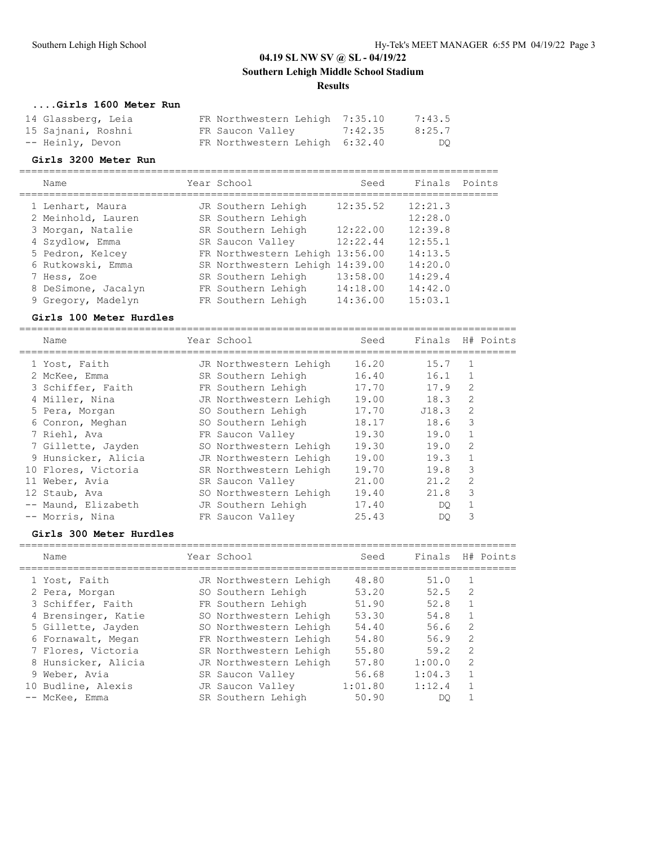## **Southern Lehigh Middle School Stadium**

### **Results**

### **....Girls 1600 Meter Run**

| 14 Glassberg, Leia | FR Northwestern Lehigh 7:35.10 | 7:43.5 |
|--------------------|--------------------------------|--------|
| 15 Sajnani, Roshni | FR Saucon Valley 7:42.35       | 8:25.7 |
| -- Heinly, Devon   | FR Northwestern Lehigh 6:32.40 | DO     |

### **Girls 3200 Meter Run**

| Name                | Year School                     | Seed     | Finals  | Points |
|---------------------|---------------------------------|----------|---------|--------|
| 1 Lenhart, Maura    | JR Southern Lehigh              | 12:35.52 | 12:21.3 |        |
| 2 Meinhold, Lauren  | SR Southern Lehigh              |          | 12:28.0 |        |
| 3 Morgan, Natalie   | SR Southern Lehigh              | 12:22.00 | 12:39.8 |        |
| 4 Szydlow, Emma     | SR Saucon Valley                | 12:22.44 | 12:55.1 |        |
| 5 Pedron, Kelcey    | FR Northwestern Lehigh 13:56.00 |          | 14:13.5 |        |
| 6 Rutkowski, Emma   | SR Northwestern Lehigh 14:39.00 |          | 14:20.0 |        |
| 7 Hess, Zoe         | SR Southern Lehigh              | 13:58.00 | 14:29.4 |        |
| 8 DeSimone, Jacalyn | FR Southern Lehigh              | 14:18.00 | 14:42.0 |        |
| 9 Gregory, Madelyn  | FR Southern Lehigh              | 14:36.00 | 15:03.1 |        |

### **Girls 100 Meter Hurdles**

| Name                | Year School            | Seed  | Finals |                | H# Points |
|---------------------|------------------------|-------|--------|----------------|-----------|
| 1 Yost, Faith       | JR Northwestern Lehigh | 16.20 | 15.7   | 1              |           |
| 2 McKee, Emma       | SR Southern Lehigh     | 16.40 | 16.1   | $\mathbf{1}$   |           |
| 3 Schiffer, Faith   | FR Southern Lehigh     | 17.70 | 17.9   | 2              |           |
| 4 Miller, Nina      | JR Northwestern Lehigh | 19.00 | 18.3   | $\overline{2}$ |           |
| 5 Pera, Morgan      | SO Southern Lehigh     | 17.70 | J18.3  | $\overline{2}$ |           |
| 6 Conron, Meghan    | SO Southern Lehigh     | 18.17 | 18.6   | 3              |           |
| 7 Riehl, Ava        | FR Saucon Valley       | 19.30 | 19.0   | 1              |           |
| 7 Gillette, Jayden  | SO Northwestern Lehigh | 19.30 | 19.0   | $\overline{2}$ |           |
| 9 Hunsicker, Alicia | JR Northwestern Lehigh | 19.00 | 19.3   | 1              |           |
| 10 Flores, Victoria | SR Northwestern Lehigh | 19.70 | 19.8   | 3              |           |
| 11 Weber, Avia      | SR Saucon Valley       | 21.00 | 21.2   | $\mathfrak{D}$ |           |
| 12 Staub, Ava       | SO Northwestern Lehigh | 19.40 | 21.8   | 3              |           |
| -- Maund, Elizabeth | JR Southern Lehigh     | 17.40 | DO.    |                |           |
| -- Morris, Nina     | FR Saucon Valley       | 25.43 | DO     | 3              |           |

### **Girls 300 Meter Hurdles**

| Name                | Year School            | Seed    | Finals |                | H# Points |
|---------------------|------------------------|---------|--------|----------------|-----------|
| 1 Yost, Faith       | JR Northwestern Lehigh | 48.80   | 51.0   |                |           |
| 2 Pera, Morgan      | SO Southern Lehigh     | 53.20   | 52.5   | 2              |           |
| 3 Schiffer, Faith   | FR Southern Lehigh     | 51.90   | 52.8   |                |           |
| 4 Brensinger, Katie | SO Northwestern Lehigh | 53.30   | 54.8   |                |           |
| 5 Gillette, Jayden  | SO Northwestern Lehigh | 54.40   | 56.6   | 2              |           |
| 6 Fornawalt, Megan  | FR Northwestern Lehigh | 54.80   | 56.9   | $\mathfrak{D}$ |           |
| 7 Flores, Victoria  | SR Northwestern Lehigh | 55.80   | 59.2   | $\mathcal{L}$  |           |
| 8 Hunsicker, Alicia | JR Northwestern Lehigh | 57.80   | 1:00.0 | 2              |           |
| 9 Weber, Avia       | SR Saucon Valley       | 56.68   | 1:04.3 |                |           |
| 10 Budline, Alexis  | JR Saucon Valley       | 1:01.80 | 1:12.4 |                |           |
| -- McKee, Emma      | SR Southern Lehigh     | 50.90   | DO     |                |           |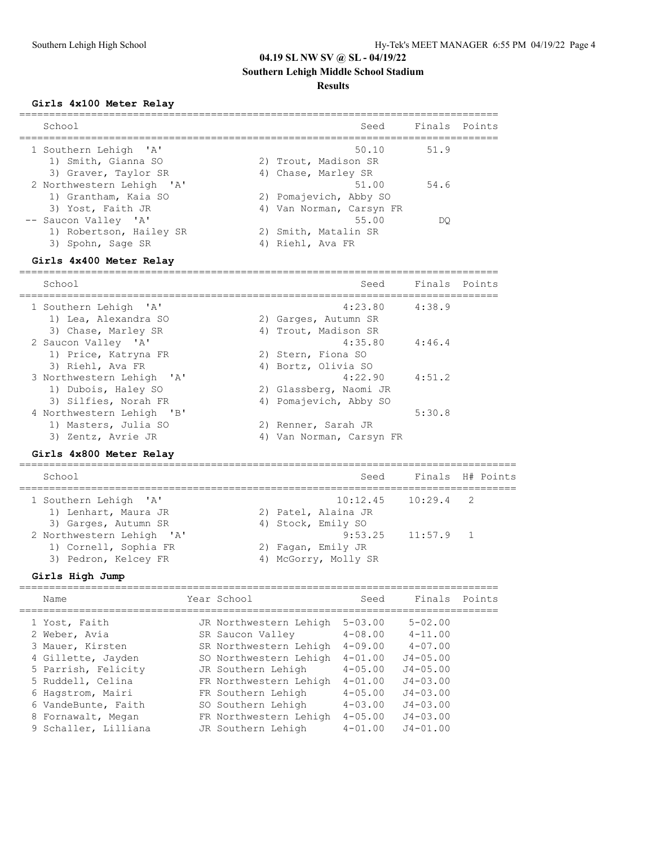# **Southern Lehigh Middle School Stadium**

## **Results**

## **Girls 4x100 Meter Relay**

| School                        | Seed                     | Finals Points |
|-------------------------------|--------------------------|---------------|
| 1 Southern Lehigh 'A'         | 50.10                    | 51.9          |
| 1) Smith, Gianna SO           | 2) Trout, Madison SR     |               |
| 3) Graver, Taylor SR          | 4) Chase, Marley SR      |               |
| 2 Northwestern Lehigh 'A'     | 51.00                    | 54.6          |
| 1) Grantham, Kaia SO          | 2) Pomajevich, Abby SO   |               |
| 3) Yost, Faith JR             | 4) Van Norman, Carsyn FR |               |
| -- Saucon Valley 'A'          | 55.00                    | DO            |
| 1) Robertson, Hailey SR<br>2) | Smith, Matalin SR        |               |
| 3) Spohn, Sage SR<br>4)       | Riehl, Ava FR            |               |

## **Girls 4x400 Meter Relay**

| School                                                                    |    | Seed                                                     | Finals Points |  |
|---------------------------------------------------------------------------|----|----------------------------------------------------------|---------------|--|
| 1 Southern Lehigh 'A'<br>1) Lea, Alexandra SO<br>3) Chase, Marley SR      |    | 4:23.80<br>2) Garges, Autumn SR<br>4) Trout, Madison SR  | 4:38.9        |  |
| 2 Saucon Valley 'A'<br>1) Price, Katryna FR                               |    | 4:35.80<br>2) Stern, Fiona SO                            | 4:46.4        |  |
| 3) Riehl, Ava FR<br>3 Northwestern Lehigh 'A'<br>1) Dubois, Haley SO      |    | 4) Bortz, Olivia SO<br>4:22.90<br>2) Glassberg, Naomi JR | 4:51.2        |  |
| 3) Silfies, Norah FR<br>4 Northwestern Lehigh 'B'<br>1) Masters, Julia SO |    | 4) Pomajevich, Abby SO<br>2) Renner, Sarah JR            | 5:30.8        |  |
| 3) Zentz, Avrie JR                                                        | 4) | Van Norman, Carsyn FR                                    |               |  |

## **Girls 4x800 Meter Relay**

| School                                                                     | Seed                                                                |             | Finals H# Points |
|----------------------------------------------------------------------------|---------------------------------------------------------------------|-------------|------------------|
| 1 Southern Lehigh 'A'<br>1) Lenhart, Maura JR<br>3) Garges, Autumn SR      | $10:12.45$ $10:29.4$ 2<br>2) Patel, Alaina JR<br>4) Stock, Emily SO |             |                  |
| 2 Northwestern Lehigh 'A'<br>1) Cornell, Sophia FR<br>3) Pedron, Kelcey FR | 9:53.25<br>2) Fagan, Emily JR<br>4) McGorry, Molly SR               | $11:57.9$ 1 |                  |

# **Girls High Jump**

| Name                                                                                                                                                                                   | Year School                                                                                                                                                                                                          | Seed                                                                                                                                               | Finals Points                                                                                                                             |  |
|----------------------------------------------------------------------------------------------------------------------------------------------------------------------------------------|----------------------------------------------------------------------------------------------------------------------------------------------------------------------------------------------------------------------|----------------------------------------------------------------------------------------------------------------------------------------------------|-------------------------------------------------------------------------------------------------------------------------------------------|--|
| 1 Yost, Faith<br>2 Weber, Avia<br>3 Mauer, Kirsten<br>4 Gillette, Jayden<br>5 Parrish, Felicity<br>5 Ruddell, Celina<br>6 Hagstrom, Mairi<br>6 VandeBunte, Faith<br>8 Fornawalt, Megan | JR Northwestern Lehigh<br>SR Saucon Valley<br>SR Northwestern Lehigh<br>SO Northwestern Lehigh<br>JR Southern Lehigh<br>FR Northwestern Lehigh<br>FR Southern Lehigh<br>SO Southern Lehigh<br>FR Northwestern Lehigh | $5 - 0.3$ , 00<br>$4 - 08.00$<br>$4 - 09.00$<br>$4 - 01.00$<br>$4 - 0.5$ , 00<br>$4 - 01.00$<br>$4 - 0.5$ , 00<br>$4 - 0.3$ , 00<br>$4 - 0.5$ , 00 | $5 - 02.00$<br>$4 - 11.00$<br>$4 - 07.00$<br>$J4 - 05.00$<br>$J4 - 05.00$<br>$J4 - 03.00$<br>$J4 - 03.00$<br>$J4 - 03.00$<br>$J4 - 03.00$ |  |
| 9 Schaller, Lilliana                                                                                                                                                                   | JR Southern Lehigh                                                                                                                                                                                                   | $4 - 01.00$                                                                                                                                        | $J4 - 01.00$                                                                                                                              |  |
|                                                                                                                                                                                        |                                                                                                                                                                                                                      |                                                                                                                                                    |                                                                                                                                           |  |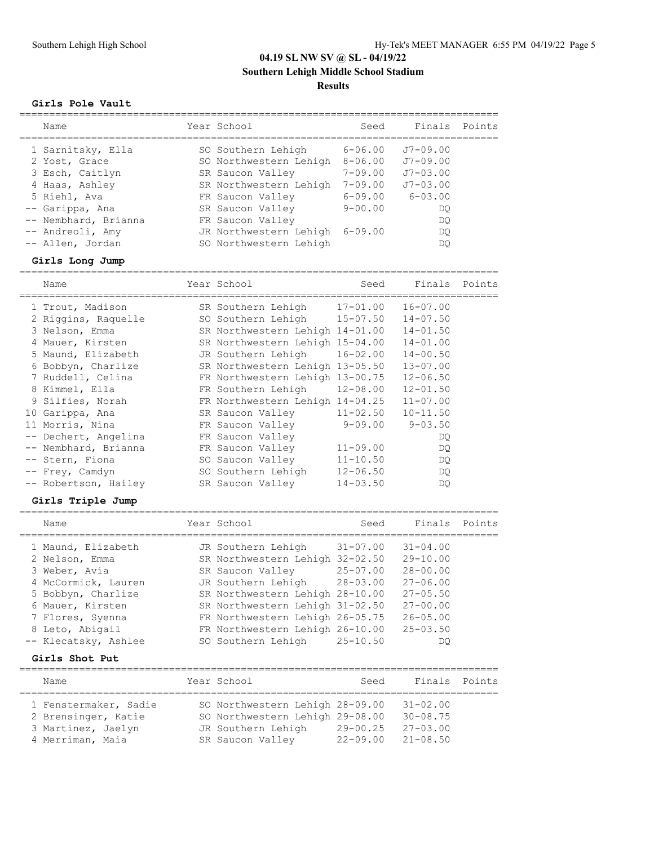**Southern Lehigh Middle School Stadium**

### **Results**

## **Girls Pole Vault**

| Finals Points<br>Year School<br>Seed<br>Name<br>$J7 - 09.00$<br>$6 - 06.00$<br>1 Sarnitsky, Ella<br>SO Southern Lehigh<br>SO Northwestern Lehigh<br>$8 - 06.00$<br>$J7 - 09.00$<br>2 Yost, Grace<br>$7 - 09.00$<br>$J7 - 0.3$ , 00<br>3 Esch, Caitlyn<br>SR Saucon Valley<br>$7 - 09.00$<br>SR Northwestern Lehigh<br>$.77 - 0.3$ . 00<br>4 Haas, Ashley<br>$6 - 0.3$ , 00<br>5 Riehl, Ava<br>$6 - 09.00$<br>FR Saucon Valley<br>$9 - 00.00$<br>-- Garippa, Ana<br>SR Saucon Valley<br>DO.<br>-- Nembhard, Brianna<br>FR Saucon Valley<br>DO<br>JR Northwestern Lehigh<br>-- Andreoli, Amy<br>6-09.00<br>DO |                  |                        |    |  |
|-------------------------------------------------------------------------------------------------------------------------------------------------------------------------------------------------------------------------------------------------------------------------------------------------------------------------------------------------------------------------------------------------------------------------------------------------------------------------------------------------------------------------------------------------------------------------------------------------------------|------------------|------------------------|----|--|
|                                                                                                                                                                                                                                                                                                                                                                                                                                                                                                                                                                                                             |                  |                        |    |  |
|                                                                                                                                                                                                                                                                                                                                                                                                                                                                                                                                                                                                             | -- Allen, Jordan | SO Northwestern Lehigh | DO |  |

## **Girls Long Jump**

|  | Name                 | Year School                              | Seed         | Finals Points |        |
|--|----------------------|------------------------------------------|--------------|---------------|--------|
|  | 1 Trout, Madison     | SR Southern Lehigh                       | $17 - 01.00$ | $16 - 07.00$  |        |
|  | 2 Riggins, Raquelle  | SO Southern Lehigh 15-07.50              |              | $14 - 07.50$  |        |
|  | 3 Nelson, Emma       | SR Northwestern Lehigh 14-01.00          |              | $14 - 01.50$  |        |
|  | 4 Mauer, Kirsten     | SR Northwestern Lehigh 15-04.00          |              | $14 - 01.00$  |        |
|  | 5 Maund, Elizabeth   | JR Southern Lehigh                       | $16 - 02.00$ | $14 - 00.50$  |        |
|  | 6 Bobbyn, Charlize   | SR Northwestern Lehigh 13-05.50          |              | $13 - 07.00$  |        |
|  | 7 Ruddell, Celina    | FR Northwestern Lehigh 13-00.75          |              | $12 - 06.50$  |        |
|  | 8 Kimmel, Ella       | FR Southern Lehigh                       | $12 - 08.00$ | $12 - 01.50$  |        |
|  | 9 Silfies, Norah     | FR Northwestern Lehigh 14-04.25          |              | $11 - 07.00$  |        |
|  | 10 Garippa, Ana      | SR Saucon Valley                         | $11 - 02.50$ | $10 - 11.50$  |        |
|  | 11 Morris, Nina      | FR Saucon Valley                         | 9-09.00      | $9 - 03.50$   |        |
|  | -- Dechert, Angelina | FR Saucon Valley                         |              | DQ.           |        |
|  | -- Nembhard, Brianna | FR Saucon Valley                         | $11 - 09.00$ | DQ.           |        |
|  | -- Stern, Fiona      | SO Saucon Valley                         | $11 - 10.50$ | DQ.           |        |
|  | -- Frey, Camdyn      | SO Southern Lehigh                       | $12 - 06.50$ | DQ.           |        |
|  | -- Robertson, Hailey | SR Saucon Valley                         | $14 - 03.50$ | DQ.           |        |
|  | Girls Triple Jump    |                                          |              |               |        |
|  | Name                 | Year School                              | Seed         | Finals        | Points |
|  | 1 Maund, Elizabeth   | JR Southern Lehigh 31-07.00 31-04.00     |              |               |        |
|  | 2 Nelson, Emma       | SR Northwestern Lehigh 32-02.50 29-10.00 |              |               |        |
|  | 3 Weber, Avia        | SR Saucon Valley 25-07.00                |              | $28 - 00.00$  |        |
|  | 4 McCormick, Lauren  | JR Southern Lehigh 28-03.00              |              | $27 - 06.00$  |        |
|  | 5 Bobbyn, Charlize   | SR Northwestern Lehigh 28-10.00          |              | $27 - 05.50$  |        |
|  | 6 Mauer, Kirsten     | SR Northwestern Lehigh 31-02.50          |              | $27 - 00.00$  |        |
|  | 7 Flores, Syenna     | FR Northwestern Lehigh 26-05.75          |              | $26 - 05.00$  |        |
|  | 8 Leto, Abigail      | FR Northwestern Lehigh 26-10.00          |              | $25 - 03.50$  |        |
|  | -- Klecatsky, Ashlee | SO Southern Lehigh                       | $25 - 10.50$ | DQ            |        |
|  |                      |                                          |              |               |        |

### **Girls Shot Put**

| Name                  |  | Year School                     | Seed         | Finals Points |  |  |  |  |  |
|-----------------------|--|---------------------------------|--------------|---------------|--|--|--|--|--|
| 1 Fenstermaker, Sadie |  | SO Northwestern Lehigh 28-09.00 |              | $31 - 02.00$  |  |  |  |  |  |
| 2 Brensinger, Katie   |  | SO Northwestern Lehigh 29-08.00 |              | $30 - 08.75$  |  |  |  |  |  |
| 3 Martinez, Jaelyn    |  | JR Southern Lehigh              | $29 - 00.25$ | $27 - 03.00$  |  |  |  |  |  |
| 4 Merriman, Maia      |  | SR Saucon Valley                | $22 - 09.00$ | $21 - 08.50$  |  |  |  |  |  |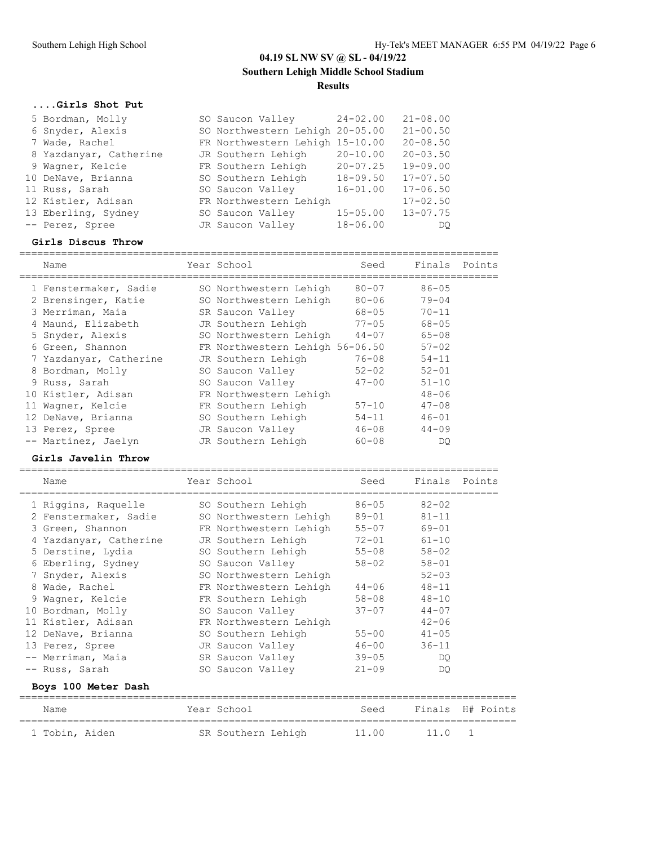# **04.19 SL NW SV @ SL - 04/19/22 Southern Lehigh Middle School Stadium Results**

================================================================================

### **....Girls Shot Put**

| 5 Bordman, Molly       | SO Saucon Valley 24-02.00       |              | $21 - 08.00$ |
|------------------------|---------------------------------|--------------|--------------|
| 6 Snyder, Alexis       | SO Northwestern Lehigh 20-05.00 |              | $21 - 00.50$ |
| 7 Wade, Rachel         | FR Northwestern Lehigh 15-10.00 |              | $20 - 08.50$ |
| 8 Yazdanyar, Catherine | JR Southern Lehigh              | $20 - 10.00$ | $20 - 03.50$ |
| 9 Wagner, Kelcie       | FR Southern Lehigh              | $20 - 07.25$ | $19 - 09.00$ |
| 10 DeNave, Brianna     | SO Southern Lehigh              | $18 - 09.50$ | $17 - 07.50$ |
| 11 Russ, Sarah         | SO Saucon Valley                | $16 - 01.00$ | $17 - 06.50$ |
| 12 Kistler, Adisan     | FR Northwestern Lehigh          |              | $17 - 02.50$ |
| 13 Eberling, Sydney    | SO Saucon Valley                | $15 - 05.00$ | $13 - 07.75$ |
| -- Perez, Spree        | JR Saucon Valley                | $18 - 06.00$ | DO.          |

### **Girls Discus Throw**

|    | Name                   | Year School                     | Seed      | Finals Points |  |
|----|------------------------|---------------------------------|-----------|---------------|--|
|    | 1 Fenstermaker, Sadie  | SO Northwestern Lehigh          | $80 - 07$ | $86 - 05$     |  |
|    | 2 Brensinger, Katie    | SO Northwestern Lehigh          | $80 - 06$ | $79 - 04$     |  |
|    | 3 Merriman, Maia       | SR Saucon Valley                | $68 - 05$ | $70 - 11$     |  |
|    | 4 Maund, Elizabeth     | JR Southern Lehigh              | $77 - 05$ | $68 - 05$     |  |
|    | 5 Snyder, Alexis       | SO Northwestern Lehigh          | $44 - 07$ | $65 - 08$     |  |
|    | 6 Green, Shannon       | FR Northwestern Lehigh 56-06.50 |           | $57 - 02$     |  |
|    | 7 Yazdanyar, Catherine | JR Southern Lehigh              | $76 - 08$ | $54 - 11$     |  |
|    | 8 Bordman, Molly       | SO Saucon Valley                | $52 - 02$ | $52 - 01$     |  |
|    | 9 Russ, Sarah          | SO Saucon Valley                | $47 - 00$ | $51 - 10$     |  |
|    | 10 Kistler, Adisan     | FR Northwestern Lehigh          |           | $48 - 06$     |  |
| 11 | Wagner, Kelcie         | FR Southern Lehigh              | $57 - 10$ | $47 - 08$     |  |
|    | 12 DeNave, Brianna     | SO Southern Lehigh              | $54 - 11$ | $46 - 01$     |  |
|    | 13 Perez, Spree        | JR Saucon Valley                | $46 - 08$ | $44 - 09$     |  |
|    | -- Martinez, Jaelyn    | JR Southern Lehigh              | $60 - 08$ | DO            |  |

### **Girls Javelin Throw**

| Name |                                                                                                                                                                                                                                                                                                    |                                             | Seed                                                                                                                                                                                                                                                                                                       | Finals Points                                                    |                                                                                                                   |
|------|----------------------------------------------------------------------------------------------------------------------------------------------------------------------------------------------------------------------------------------------------------------------------------------------------|---------------------------------------------|------------------------------------------------------------------------------------------------------------------------------------------------------------------------------------------------------------------------------------------------------------------------------------------------------------|------------------------------------------------------------------|-------------------------------------------------------------------------------------------------------------------|
|      |                                                                                                                                                                                                                                                                                                    |                                             | $86 - 05$                                                                                                                                                                                                                                                                                                  | $82 - 02$                                                        |                                                                                                                   |
|      |                                                                                                                                                                                                                                                                                                    |                                             |                                                                                                                                                                                                                                                                                                            | $81 - 11$                                                        |                                                                                                                   |
|      |                                                                                                                                                                                                                                                                                                    |                                             |                                                                                                                                                                                                                                                                                                            | $69 - 01$                                                        |                                                                                                                   |
|      |                                                                                                                                                                                                                                                                                                    |                                             |                                                                                                                                                                                                                                                                                                            | $61 - 10$                                                        |                                                                                                                   |
|      |                                                                                                                                                                                                                                                                                                    |                                             |                                                                                                                                                                                                                                                                                                            | $58 - 02$                                                        |                                                                                                                   |
|      |                                                                                                                                                                                                                                                                                                    |                                             |                                                                                                                                                                                                                                                                                                            | $58 - 01$                                                        |                                                                                                                   |
|      |                                                                                                                                                                                                                                                                                                    |                                             |                                                                                                                                                                                                                                                                                                            | $52 - 03$                                                        |                                                                                                                   |
|      |                                                                                                                                                                                                                                                                                                    |                                             |                                                                                                                                                                                                                                                                                                            | $48 - 11$                                                        |                                                                                                                   |
|      |                                                                                                                                                                                                                                                                                                    |                                             |                                                                                                                                                                                                                                                                                                            | $48 - 10$                                                        |                                                                                                                   |
|      |                                                                                                                                                                                                                                                                                                    |                                             |                                                                                                                                                                                                                                                                                                            | $44 - 07$                                                        |                                                                                                                   |
|      |                                                                                                                                                                                                                                                                                                    |                                             |                                                                                                                                                                                                                                                                                                            | $42 - 06$                                                        |                                                                                                                   |
|      |                                                                                                                                                                                                                                                                                                    |                                             |                                                                                                                                                                                                                                                                                                            | $41 - 05$                                                        |                                                                                                                   |
|      |                                                                                                                                                                                                                                                                                                    |                                             | $46 - 00$                                                                                                                                                                                                                                                                                                  | $36 - 11$                                                        |                                                                                                                   |
|      |                                                                                                                                                                                                                                                                                                    |                                             | $39 - 05$                                                                                                                                                                                                                                                                                                  | DO.                                                              |                                                                                                                   |
|      |                                                                                                                                                                                                                                                                                                    |                                             | $21 - 09$                                                                                                                                                                                                                                                                                                  | DO.                                                              |                                                                                                                   |
|      |                                                                                                                                                                                                                                                                                                    |                                             |                                                                                                                                                                                                                                                                                                            |                                                                  |                                                                                                                   |
| Name |                                                                                                                                                                                                                                                                                                    |                                             |                                                                                                                                                                                                                                                                                                            | Finals                                                           | H# Points                                                                                                         |
|      | 1 Riggins, Raquelle<br>3 Green, Shannon<br>4 Yazdanyar, Catherine<br>5 Derstine, Lydia<br>7 Snyder, Alexis<br>8 Wade, Rachel<br>9 Waqner, Kelcie<br>10 Bordman, Molly<br>11 Kistler, Adisan<br>12 DeNave, Brianna<br>13 Perez, Spree<br>-- Merriman, Maia<br>-- Russ, Sarah<br>Boys 100 Meter Dash | 2 Fenstermaker, Sadie<br>6 Eberling, Sydney | Year School<br>SO Southern Lehigh<br>SO Northwestern Lehigh<br>JR Southern Lehigh<br>SO Saucon Valley<br>SO Northwestern Lehigh<br>FR Northwestern Lehigh<br>FR Southern Lehigh<br>SO Saucon Valley<br>FR Northwestern Lehigh<br>SO Southern Lehigh<br>SR Saucon Valley<br>SO Saucon Valley<br>Year School | FR Northwestern Lehigh<br>SO Southern Lehigh<br>JR Saucon Valley | 89-01<br>$55 - 07$<br>$72 - 01$<br>$55 - 08$<br>$58 - 02$<br>$44 - 06$<br>58-08<br>$37 - 07$<br>$55 - 00$<br>Seed |

1 Tobin, Aiden SR Southern Lehigh 11.00 11.0 1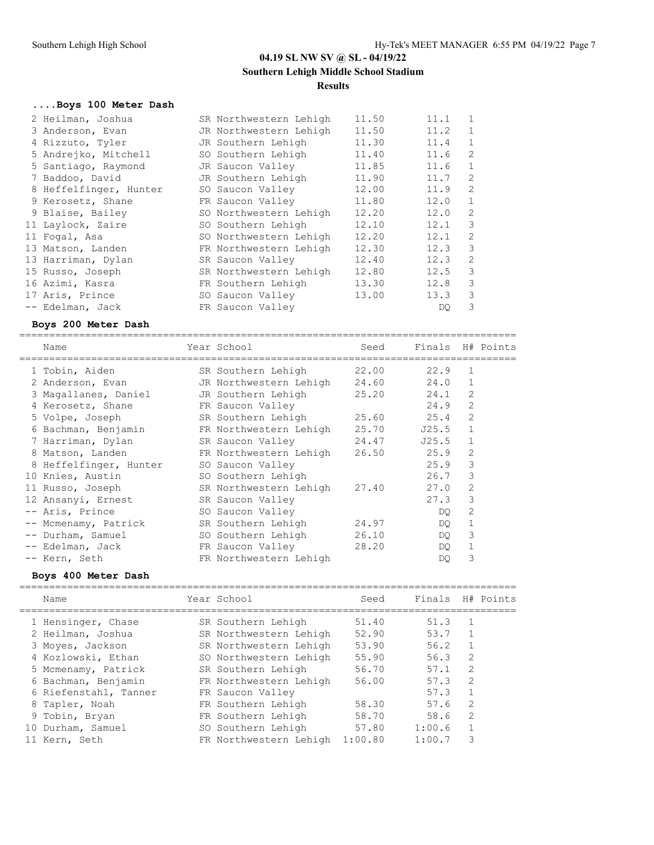===================================================================================

# **04.19 SL NW SV @ SL - 04/19/22 Southern Lehigh Middle School Stadium Results**

# **....Boys 100 Meter Dash**

| 2 Heilman, Joshua      | SR Northwestern Lehigh | 11.50 | 11.1 | 1              |
|------------------------|------------------------|-------|------|----------------|
| 3 Anderson, Evan       | JR Northwestern Lehigh | 11.50 | 11.2 | $\mathbf{1}$   |
| 4 Rizzuto, Tyler       | JR Southern Lehigh     | 11.30 | 11.4 | $\mathbf{1}$   |
| 5 Andrejko, Mitchell   | SO Southern Lehigh     | 11.40 | 11.6 | $\overline{c}$ |
| 5 Santiago, Raymond    | JR Saucon Valley       | 11.85 | 11.6 | $\mathbf{1}$   |
| 7 Baddoo, David        | JR Southern Lehigh     | 11.90 | 11.7 | 2              |
| 8 Heffelfinger, Hunter | SO Saucon Valley       | 12.00 | 11.9 | 2              |
| 9 Kerosetz, Shane      | FR Saucon Valley       | 11.80 | 12.0 | $\mathbf{1}$   |
| 9 Blaise, Bailey       | SO Northwestern Lehigh | 12.20 | 12.0 | 2              |
| 11 Laylock, Zaire      | SO Southern Lehigh     | 12.10 | 12.1 | 3              |
| 11 Fogal, Asa          | SO Northwestern Lehigh | 12.20 | 12.1 | 2              |
| 13 Matson, Landen      | FR Northwestern Lehigh | 12.30 | 12.3 | 3              |
| 13 Harriman, Dylan     | SR Saucon Valley       | 12.40 | 12.3 | $\overline{2}$ |
| 15 Russo, Joseph       | SR Northwestern Lehigh | 12.80 | 12.5 | 3              |
| 16 Azimi, Kasra        | FR Southern Lehigh     | 13.30 | 12.8 | 3              |
| 17 Aris, Prince        | SO Saucon Valley       | 13.00 | 13.3 | 3              |
| -- Edelman, Jack       | FR Saucon Valley       |       | DO.  | 3              |

## **Boys 200 Meter Dash**

| Name                   | Year School            | Seed  | Finals H# Points |                |  |
|------------------------|------------------------|-------|------------------|----------------|--|
| 1 Tobin, Aiden         | SR Southern Lehigh     | 22.00 | 22.9             | $\mathbf{1}$   |  |
| 2 Anderson, Evan       | JR Northwestern Lehigh | 24.60 | 24.0             | $\mathbf{1}$   |  |
| 3 Magallanes, Daniel   | JR Southern Lehigh     | 25.20 | 24.1             | $\overline{2}$ |  |
| 4 Kerosetz, Shane      | FR Saucon Valley       |       | 24.9             | $\mathfrak{D}$ |  |
| 5 Volpe, Joseph        | SR Southern Lehigh     | 25.60 | 25.4             | $\overline{2}$ |  |
| 6 Bachman, Benjamin    | FR Northwestern Lehigh | 25.70 | J25.5            | $\mathbf{1}$   |  |
| 7 Harriman, Dylan      | SR Saucon Valley       | 24.47 | J25.5            | $\mathbf{1}$   |  |
| 8 Matson, Landen       | FR Northwestern Lehigh | 26.50 | 25.9             | $\overline{2}$ |  |
| 8 Heffelfinger, Hunter | SO Saucon Valley       |       | 25.9             | 3              |  |
| 10 Knies, Austin       | SO Southern Lehigh     |       | 26.7             | 3              |  |
| 11 Russo, Joseph       | SR Northwestern Lehigh | 27.40 | 27.0             | 2              |  |
| 12 Ansanyi, Ernest     | SR Saucon Valley       |       | 27.3             | 3              |  |
| -- Aris, Prince        | SO Saucon Valley       |       | DO               | 2              |  |
| -- Mcmenamy, Patrick   | SR Southern Lehigh     | 24.97 | DO.              | 1              |  |
| -- Durham, Samuel      | SO Southern Lehigh     | 26.10 | DO               | 3              |  |
| -- Edelman, Jack       | FR Saucon Valley       | 28.20 | DO               | $\mathbf{1}$   |  |
| -- Kern, Seth          | FR Northwestern Lehigh |       | DO               | 3              |  |

## **Boys 400 Meter Dash**

| Name                  | Year School            | Seed    | Finals |                | H# Points |
|-----------------------|------------------------|---------|--------|----------------|-----------|
| 1 Hensinger, Chase    | SR Southern Lehigh     | 51.40   | 51.3   |                |           |
| 2 Heilman, Joshua     | SR Northwestern Lehigh | 52.90   | 53.7   |                |           |
| 3 Moyes, Jackson      | SR Northwestern Lehigh | 53.90   | 56.2   | 1              |           |
| 4 Kozlowski, Ethan    | SO Northwestern Lehigh | 55.90   | 56.3   | $\mathfrak{D}$ |           |
| 5 Mcmenamy, Patrick   | SR Southern Lehigh     | 56.70   | 57.1   | 2              |           |
| 6 Bachman, Benjamin   | FR Northwestern Lehigh | 56.00   | 57.3   | $\mathfrak{D}$ |           |
| 6 Riefenstahl, Tanner | FR Saucon Valley       |         | 57.3   |                |           |
| 8 Tapler, Noah        | FR Southern Lehigh     | 58.30   | 57.6   | 2              |           |
| 9 Tobin, Bryan        | FR Southern Lehigh     | 58.70   | 58.6   | $\mathcal{L}$  |           |
| 10 Durham, Samuel     | SO Southern Lehigh     | 57.80   | 1:00.6 |                |           |
| 11 Kern, Seth         | FR Northwestern Lehigh | 1:00.80 | 1:00.7 | 3              |           |
|                       |                        |         |        |                |           |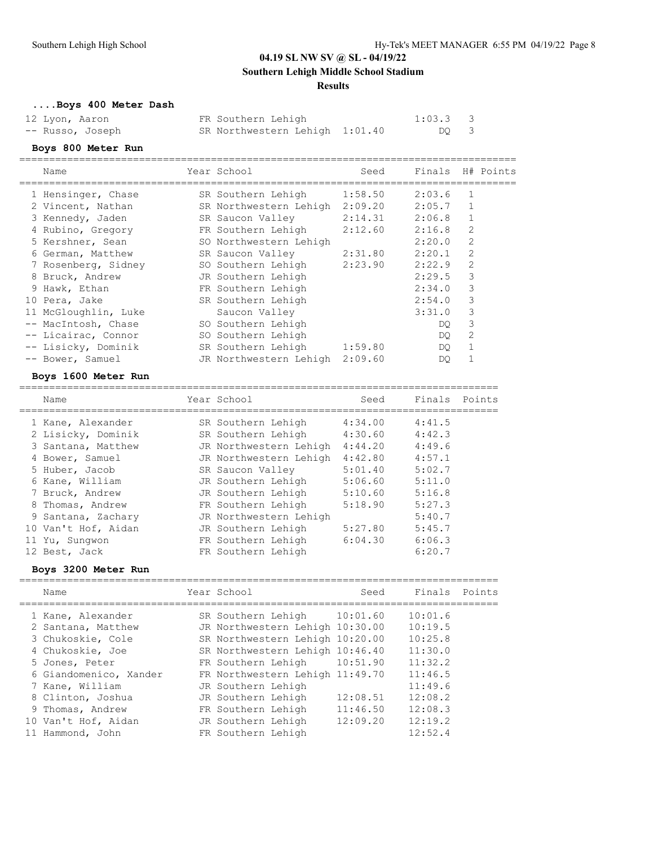## **Southern Lehigh Middle School Stadium**

## **Results**

# **....Boys 400 Meter Dash**

| 12 Lyon, Aaron   | FR Southern Lehigh             | $1:03.3$ 3 |  |
|------------------|--------------------------------|------------|--|
| -- Russo, Joseph | SR Northwestern Lehigh 1:01.40 | DO 3       |  |

## **Boys 800 Meter Run**

| Name                                           | Year School                    | Seed    | Finals H# Points |                |        |
|------------------------------------------------|--------------------------------|---------|------------------|----------------|--------|
| 1 Hensinger, Chase                             | SR Southern Lehigh 1:58.50     |         | 2:03.6           | $\mathbf{1}$   |        |
| 2 Vincent, Nathan                              | SR Northwestern Lehigh 2:09.20 |         | 2:05.7           | $\mathbf{1}$   |        |
| 3 Kennedy, Jaden                               | SR Saucon Valley               | 2:14.31 | 2:06.8           | $\mathbf{1}$   |        |
| 4 Rubino, Gregory                              | FR Southern Lehigh 2:12.60     |         | 2:16.8           | $\overline{2}$ |        |
| 5 Kershner, Sean                               | SO Northwestern Lehigh         |         | 2:20.0           | 2              |        |
| 6 German, Matthew                              | SR Saucon Valley 2:31.80       |         | 2:20.1           | $\overline{2}$ |        |
| 7 Rosenberg, Sidney 50 Southern Lehigh 2:23.90 |                                |         | 2:22.9           | $\mathfrak{D}$ |        |
| 8 Bruck, Andrew                                | JR Southern Lehigh             |         | 2:29.5           | 3              |        |
| 9 Hawk, Ethan                                  | FR Southern Lehigh             |         | 2:34.0           | 3              |        |
| 10 Pera, Jake                                  | SR Southern Lehigh             |         | 2:54.0           | 3              |        |
| 11 McGloughlin, Luke                           | Saucon Valley                  |         | 3:31.0           | 3              |        |
| -- MacIntosh, Chase                            | SO Southern Lehigh             |         | DO.              | 3              |        |
| -- Licairac, Connor                            | SO Southern Lehigh             |         | DO.              | 2              |        |
| -- Lisicky, Dominik                            | SR Southern Lehigh             | 1:59.80 | DO.              | $\mathbf{1}$   |        |
| -- Bower, Samuel                               | JR Northwestern Lehigh 2:09.60 |         | DO.              | 1              |        |
| Boys 1600 Meter Run                            |                                |         |                  |                |        |
| Name                                           | Year School                    | Seed    | Finals           |                | Points |

| Name                | rear scnool            | seea    | Flnals | POINTS |
|---------------------|------------------------|---------|--------|--------|
| 1 Kane, Alexander   | SR Southern Lehigh     | 4:34.00 | 4:41.5 |        |
| 2 Lisicky, Dominik  | SR Southern Lehigh     | 4:30.60 | 4:42.3 |        |
| 3 Santana, Matthew  | JR Northwestern Lehigh | 4:44.20 | 4:49.6 |        |
| 4 Bower, Samuel     | JR Northwestern Lehigh | 4:42.80 | 4:57.1 |        |
| 5 Huber, Jacob      | SR Saucon Valley       | 5:01.40 | 5:02.7 |        |
| 6 Kane, William     | JR Southern Lehigh     | 5:06.60 | 5:11.0 |        |
| 7 Bruck, Andrew     | JR Southern Lehigh     | 5:10.60 | 5:16.8 |        |
| 8 Thomas, Andrew    | FR Southern Lehigh     | 5:18.90 | 5:27.3 |        |
| 9 Santana, Zachary  | JR Northwestern Lehigh |         | 5:40.7 |        |
| 10 Van't Hof, Aidan | JR Southern Lehigh     | 5:27.80 | 5:45.7 |        |
| 11 Yu, Sungwon      | FR Southern Lehigh     | 6:04.30 | 6:06.3 |        |
| 12 Best, Jack       | FR Southern Lehigh     |         | 6:20.7 |        |

## **Boys 3200 Meter Run**

| Name                                                                                                                                                                                     | Year School                                                                                                                                                                                                                                                     | Seed                             | Finals                                                                                          | Points |
|------------------------------------------------------------------------------------------------------------------------------------------------------------------------------------------|-----------------------------------------------------------------------------------------------------------------------------------------------------------------------------------------------------------------------------------------------------------------|----------------------------------|-------------------------------------------------------------------------------------------------|--------|
| 1 Kane, Alexander<br>2 Santana, Matthew<br>3 Chukoskie, Cole<br>4 Chukoskie, Joe<br>5 Jones, Peter<br>6 Giandomenico, Xander<br>7 Kane, William<br>8 Clinton, Joshua<br>9 Thomas, Andrew | SR Southern Lehigh 10:01.60<br>JR Northwestern Lehigh 10:30.00<br>SR Northwestern Lehigh 10:20.00<br>SR Northwestern Lehigh 10:46.40<br>FR Southern Lehigh<br>FR Northwestern Lehigh 11:49.70<br>JR Southern Lehigh<br>JR Southern Lehigh<br>FR Southern Lehigh | 10:51.90<br>12:08.51<br>11:46.50 | 10:01.6<br>10:19.5<br>10:25.8<br>11:30.0<br>11:32.2<br>11:46.5<br>11:49.6<br>12:08.2<br>12:08.3 |        |
| 10 Van't Hof, Aidan<br>Hammond, John                                                                                                                                                     | JR Southern Lehigh<br>FR Southern Lehigh                                                                                                                                                                                                                        | 12:09.20                         | 12:19.2<br>12:52.4                                                                              |        |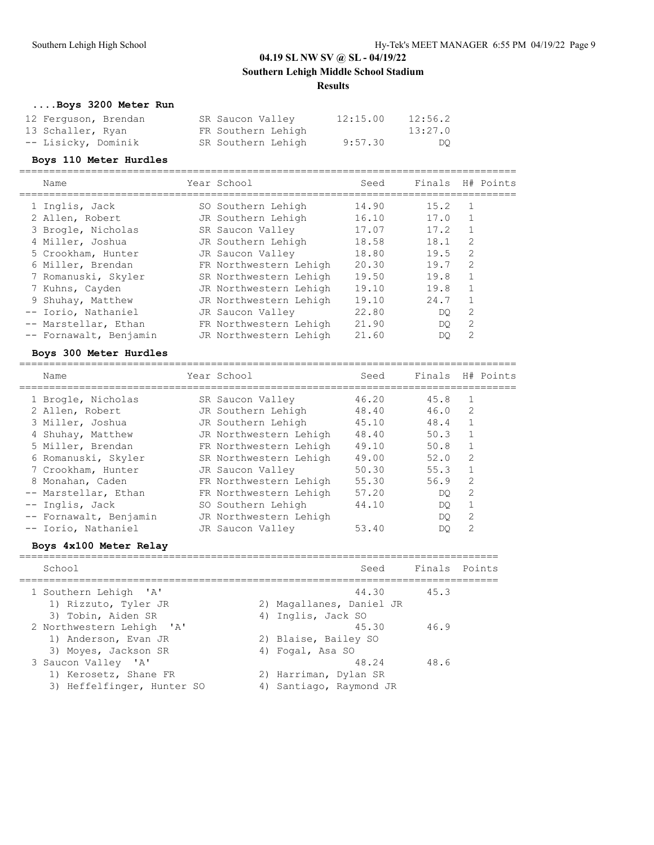**Southern Lehigh Middle School Stadium**

### **Results**

# **....Boys 3200 Meter Run**

| 12 Ferguson, Brendan | SR Saucon Valley   | 12:15.00 | 12:56.2 |
|----------------------|--------------------|----------|---------|
| 13 Schaller, Ryan    | FR Southern Lehigh |          | 13:27.0 |
| -- Lisicky, Dominik  | SR Southern Lehigh | 9:57.30  | DO      |

### **Boys 110 Meter Hurdles**

| Name                   | Year School            | Seed  | Finals |                | H# Points |
|------------------------|------------------------|-------|--------|----------------|-----------|
| 1 Inglis, Jack         | SO Southern Lehigh     | 14.90 | 15.2   | $\mathbf{1}$   |           |
| 2 Allen, Robert        | JR Southern Lehigh     | 16.10 | 17.0   |                |           |
| 3 Brogle, Nicholas     | SR Saucon Valley       | 17.07 | 17.2   |                |           |
| 4 Miller, Joshua       | JR Southern Lehigh     | 18.58 | 18.1   | 2              |           |
| 5 Crookham, Hunter     | JR Saucon Valley       | 18.80 | 19.5   | 2              |           |
| 6 Miller, Brendan      | FR Northwestern Lehigh | 20.30 | 19.7   | 2              |           |
| 7 Romanuski, Skyler    | SR Northwestern Lehigh | 19.50 | 19.8   |                |           |
| 7 Kuhns, Cayden        | JR Northwestern Lehigh | 19.10 | 19.8   |                |           |
| 9 Shuhay, Matthew      | JR Northwestern Lehigh | 19.10 | 24.7   |                |           |
| -- Iorio, Nathaniel    | JR Saucon Valley       | 22.80 | DO.    | 2              |           |
| -- Marstellar, Ethan   | FR Northwestern Lehigh | 21.90 | DO.    | $\mathfrak{D}$ |           |
| -- Fornawalt, Benjamin | JR Northwestern Lehigh | 21.60 | DO     | 2              |           |
|                        |                        |       |        |                |           |

## **Boys 300 Meter Hurdles**

| Name                   | Year School            | Seed  | Finals |                | H# Points |
|------------------------|------------------------|-------|--------|----------------|-----------|
| 1 Brogle, Nicholas     | SR Saucon Valley       | 46.20 | 45.8   |                |           |
| 2 Allen, Robert        | JR Southern Lehigh     | 48.40 | 46.0   | 2              |           |
| 3 Miller, Joshua       | JR Southern Lehigh     | 45.10 | 48.4   | $\mathbf{1}$   |           |
| 4 Shuhay, Matthew      | JR Northwestern Lehigh | 48.40 | 50.3   |                |           |
| 5 Miller, Brendan      | FR Northwestern Lehigh | 49.10 | 50.8   | $\mathbf{1}$   |           |
| 6 Romanuski, Skyler    | SR Northwestern Lehigh | 49.00 | 52.0   | $\mathfrak{D}$ |           |
| 7 Crookham, Hunter     | JR Saucon Valley       | 50.30 | 55.3   | $\mathbf{1}$   |           |
| 8 Monahan, Caden       | FR Northwestern Lehigh | 55.30 | 56.9   | 2              |           |
| -- Marstellar, Ethan   | FR Northwestern Lehigh | 57.20 | DO     | $\mathfrak{D}$ |           |
| -- Inglis, Jack        | SO Southern Lehigh     | 44.10 | DO     |                |           |
| -- Fornawalt, Benjamin | JR Northwestern Lehigh |       | DO     | 2              |           |
| -- Iorio, Nathaniel    | JR Saucon Valley       | 53.40 | DO     | 2              |           |
|                        |                        |       |        |                |           |

## **Boys 4x100 Meter Relay**

| School                                                                     |    | Seed                                                   | Finals Points |  |
|----------------------------------------------------------------------------|----|--------------------------------------------------------|---------------|--|
| 1 Southern Lehigh 'A'<br>1) Rizzuto, Tyler JR                              |    | 44.30<br>2) Magallanes, Daniel JR                      | 45.3          |  |
| 3) Tobin, Aiden SR                                                         |    | 4) Inglis, Jack SO                                     |               |  |
| 2 Northwestern Lehigh 'A'<br>1) Anderson, Evan JR                          |    | 45.30<br>2) Blaise, Bailey SO                          | 46.9          |  |
| 3) Moyes, Jackson SR                                                       |    | 4) Fogal, Asa SO                                       |               |  |
| 3 Saucon Valley 'A'<br>1) Kerosetz, Shane FR<br>3) Heffelfinger, Hunter SO | 4) | 48.24<br>2) Harriman, Dylan SR<br>Santiago, Raymond JR | 48.6          |  |
|                                                                            |    |                                                        |               |  |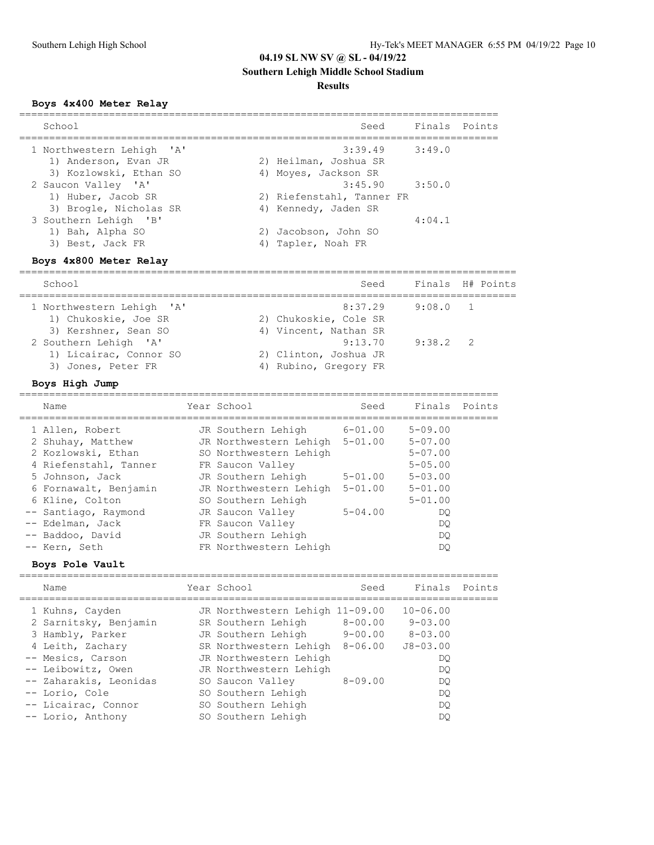# **Southern Lehigh Middle School Stadium**

## **Results**

## **Boys 4x400 Meter Relay**

| School                                            | Seed                                            | Finals Points |  |
|---------------------------------------------------|-------------------------------------------------|---------------|--|
| 1 Northwestern Lehigh 'A'<br>1) Anderson, Evan JR | $3:39.49$ $3:49.0$<br>2) Heilman, Joshua SR     |               |  |
| 3) Kozlowski, Ethan SO                            | 4) Moyes, Jackson SR                            |               |  |
| 2 Saucon Valley 'A'<br>1) Huber, Jacob SR         | $3:45.90$ $3:50.0$<br>2) Riefenstahl, Tanner FR |               |  |
| 3) Brogle, Nicholas SR<br>3 Southern Lehigh 'B'   | 4) Kennedy, Jaden SR                            | 4:04.1        |  |
| 1) Bah, Alpha SO<br>3) Best, Jack FR              | 2) Jacobson, John SO<br>4) Tapler, Noah FR      |               |  |

## **Boys 4x800 Meter Relay**

| School                                                                    | Seed                                                      |            | Finals H# Points |
|---------------------------------------------------------------------------|-----------------------------------------------------------|------------|------------------|
| 1 Northwestern Lehigh 'A'<br>1) Chukoskie, Joe SR<br>3) Kershner, Sean SO | 8:37.29<br>2) Chukoskie, Cole SR<br>4) Vincent, Nathan SR | 9:08.0 1   |                  |
| 2 Southern Lehigh 'A'<br>1) Licairac, Connor SO<br>3) Jones, Peter FR     | 9:13.70<br>2) Clinton, Joshua JR<br>4) Rubino, Gregory FR | $9:38.2$ 2 |                  |

## **Boys High Jump**

| Name                  | Year School                    | Seed        | Finals         | Points |
|-----------------------|--------------------------------|-------------|----------------|--------|
| 1 Allen, Robert       | JR Southern Lehigh             | $6 - 01.00$ | $5 - 09.00$    |        |
| 2 Shuhay, Matthew     | JR Northwestern Lehigh 5-01.00 |             | $5 - 07.00$    |        |
| 2 Kozlowski, Ethan    | SO Northwestern Lehigh         |             | $5 - 07.00$    |        |
| 4 Riefenstahl, Tanner | FR Saucon Valley               |             | $5 - 0.5$ , 00 |        |
| 5 Johnson, Jack       | JR Southern Lehigh             | $5 - 01.00$ | $5 - 0.3$ , 00 |        |
| 6 Fornawalt, Benjamin | JR Northwestern Lehigh         | $5 - 01.00$ | $5 - 01.00$    |        |
| 6 Kline, Colton       | SO Southern Lehigh             |             | $5 - 01.00$    |        |
| -- Santiago, Raymond  | JR Saucon Valley               | $5 - 04.00$ | DO             |        |
| -- Edelman, Jack      | FR Saucon Valley               |             | DO.            |        |
| -- Baddoo, David      | JR Southern Lehigh             |             | DO             |        |
| -- Kern, Seth         | FR Northwestern Lehigh         |             | DO             |        |

## **Boys Pole Vault**

| Name                                                                                                                                                                                                                | Year School                                                                                                                                                                                                                                             | Seed                                  | Finals Points                                                                                          |  |
|---------------------------------------------------------------------------------------------------------------------------------------------------------------------------------------------------------------------|---------------------------------------------------------------------------------------------------------------------------------------------------------------------------------------------------------------------------------------------------------|---------------------------------------|--------------------------------------------------------------------------------------------------------|--|
| 1 Kuhns, Cayden<br>2 Sarnitsky, Benjamin<br>3 Hambly, Parker<br>4 Leith, Zachary<br>-- Mesics, Carson<br>-- Leibowitz, Owen<br>-- Zaharakis, Leonidas<br>-- Lorio, Cole<br>-- Licairac, Connor<br>-- Lorio, Anthony | JR Northwestern Lehigh 11-09.00<br>SR Southern Lehigh<br>JR Southern Lehigh<br>SR Northwestern Lehigh 8-06.00<br>JR Northwestern Lehigh<br>JR Northwestern Lehigh<br>SO Saucon Valley<br>SO Southern Lehigh<br>SO Southern Lehigh<br>SO Southern Lehigh | $8 - 00.00$<br>9-00.00<br>$8 - 09.00$ | $10 - 06.00$<br>$9 - 0.3$ , 00<br>$8 - 03.00$<br>$J8 - 03.00$<br>DO.<br>DO.<br>DO.<br>DO.<br>DO.<br>DO |  |
|                                                                                                                                                                                                                     |                                                                                                                                                                                                                                                         |                                       |                                                                                                        |  |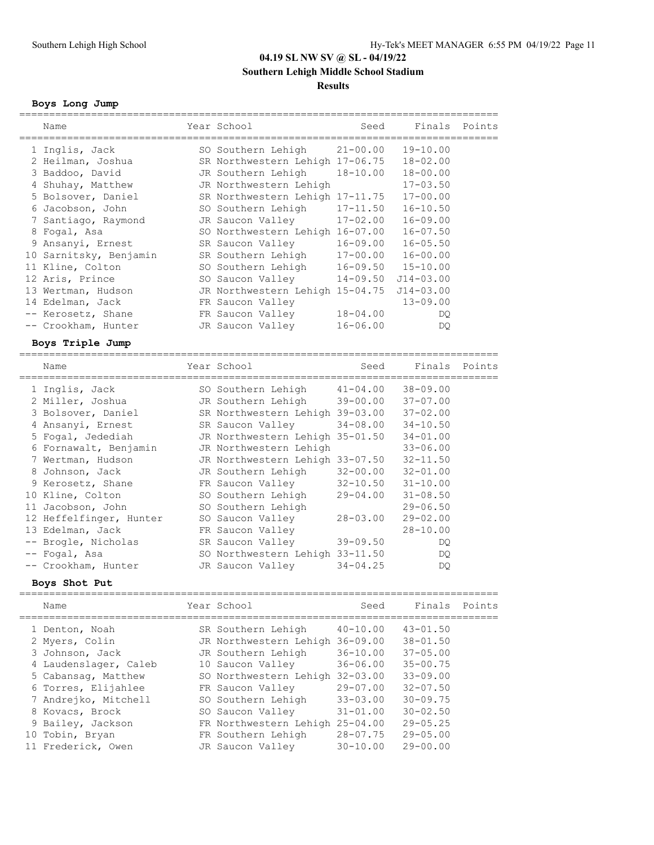**Southern Lehigh Middle School Stadium**

### **Results**

#### **Boys Long Jump**

| Name                    | Year School                     | Seed         | Finals        | Points |
|-------------------------|---------------------------------|--------------|---------------|--------|
| 1 Inglis, Jack          | SO Southern Lehigh              | $21 - 00.00$ | $19 - 10.00$  |        |
| 2 Heilman, Joshua       | SR Northwestern Lehigh 17-06.75 |              | $18 - 02.00$  |        |
| 3 Baddoo, David         | JR Southern Lehigh              | 18-10.00     | $18 - 00.00$  |        |
| 4 Shuhay, Matthew       | JR Northwestern Lehigh          |              | $17 - 03.50$  |        |
| 5 Bolsover, Daniel      | SR Northwestern Lehigh 17-11.75 |              | $17 - 00.00$  |        |
| 6 Jacobson, John        | SO Southern Lehigh              | $17 - 11.50$ | $16 - 10.50$  |        |
| 7 Santiago, Raymond     | JR Saucon Valley                | $17 - 02.00$ | $16 - 09.00$  |        |
| 8 Fogal, Asa            | SO Northwestern Lehigh 16-07.00 |              | $16 - 07.50$  |        |
| 9 Ansanyi, Ernest       | SR Saucon Valley                | $16 - 09.00$ | $16 - 05.50$  |        |
| 10 Sarnitsky, Benjamin  | SR Southern Lehigh              | $17 - 00.00$ | $16 - 00.00$  |        |
| 11 Kline, Colton        | SO Southern Lehigh              | $16 - 09.50$ | $15 - 10.00$  |        |
| 12 Aris, Prince         | SO Saucon Valley                | $14 - 09.50$ | $J14 - 03.00$ |        |
| 13 Wertman, Hudson      | JR Northwestern Lehigh 15-04.75 |              | $J14 - 03.00$ |        |
| 14 Edelman, Jack        | FR Saucon Valley                |              | $13 - 09.00$  |        |
| -- Kerosetz, Shane      | FR Saucon Valley                | $18 - 04.00$ | DQ.           |        |
| -- Crookham, Hunter     | JR Saucon Valley                | $16 - 06.00$ | DQ.           |        |
| Boys Triple Jump        |                                 |              |               |        |
|                         |                                 |              |               |        |
| Name                    | Year School                     | Seed         | Finals        | Points |
| 1 Inglis, Jack          | SO Southern Lehigh              | $41 - 04.00$ | $38 - 09.00$  |        |
| 2 Miller, Joshua        | JR Southern Lehigh              | $39 - 00.00$ | $37 - 07.00$  |        |
| 3 Bolsover, Daniel      | SR Northwestern Lehigh 39-03.00 |              | $37 - 02.00$  |        |
| 4 Ansanyi, Ernest       | SR Saucon Valley                | $34 - 08.00$ | $34 - 10.50$  |        |
| 5 Fogal, Jedediah       | JR Northwestern Lehigh 35-01.50 |              | $34 - 01.00$  |        |
| 6 Fornawalt, Benjamin   | JR Northwestern Lehigh          |              | $33 - 06.00$  |        |
| 7 Wertman, Hudson       | JR Northwestern Lehigh 33-07.50 |              | $32 - 11.50$  |        |
| 8 Johnson, Jack         | JR Southern Lehigh              | $32 - 00.00$ | $32 - 01.00$  |        |
| 9 Kerosetz, Shane       | FR Saucon Valley                | $32 - 10.50$ | $31 - 10.00$  |        |
| 10 Kline, Colton        | SO Southern Lehigh              | 29-04.00     | $31 - 08.50$  |        |
| 11 Jacobson, John       | SO Southern Lehigh              |              | $29 - 06.50$  |        |
| 12 Heffelfinger, Hunter | SO Saucon Valley                | $28 - 03.00$ | $29 - 02.00$  |        |
| 13 Edelman, Jack        | FR Saucon Valley                |              | 28-10.00      |        |
| -- Brogle, Nicholas     | SR Saucon Valley                | $39 - 09.50$ | DQ            |        |
| -- Fogal, Asa           | SO Northwestern Lehigh 33-11.50 |              | DQ.           |        |
| -- Crookham, Hunter     | JR Saucon Valley                | $34 - 04.25$ | DQ.           |        |
| Boys Shot Put           |                                 |              |               |        |
| Name                    | Year School                     | Seed         | Finals        | Points |
|                         |                                 |              |               |        |
| 1 Denton, Noah          | SR Southern Lehigh              | $40 - 10.00$ | $43 - 01.50$  |        |
| 2 Myers, Colin          | JR Northwestern Lehigh 36-09.00 |              | $38 - 01.50$  |        |
| 3 Johnson, Jack         | JR Southern Lehigh              | $36 - 10.00$ | $37 - 05.00$  |        |
| 4 Laudenslager, Caleb   | 10 Saucon Valley                | 36-06.00     | $35 - 00.75$  |        |
| 5 Cabansag, Matthew     | SO Northwestern Lehigh 32-03.00 |              | $33 - 09.00$  |        |
| 6 Torres, Elijahlee     | FR Saucon Valley                | $29 - 07.00$ | $32 - 07.50$  |        |
| 7 Andrejko, Mitchell    | SO Southern Lehigh              | $33 - 03.00$ | $30 - 09.75$  |        |
| 8 Kovacs, Brock         | SO Saucon Valley                | $31 - 01.00$ | $30 - 02.50$  |        |

9 Bailey, Jackson FR Northwestern Lehigh 25-04.00 29-05.25 10 Tobin, Bryan FR Southern Lehigh 28-07.75 29-05.00 11 Frederick, Owen JR Saucon Valley 30-10.00 29-00.00

================================================================================